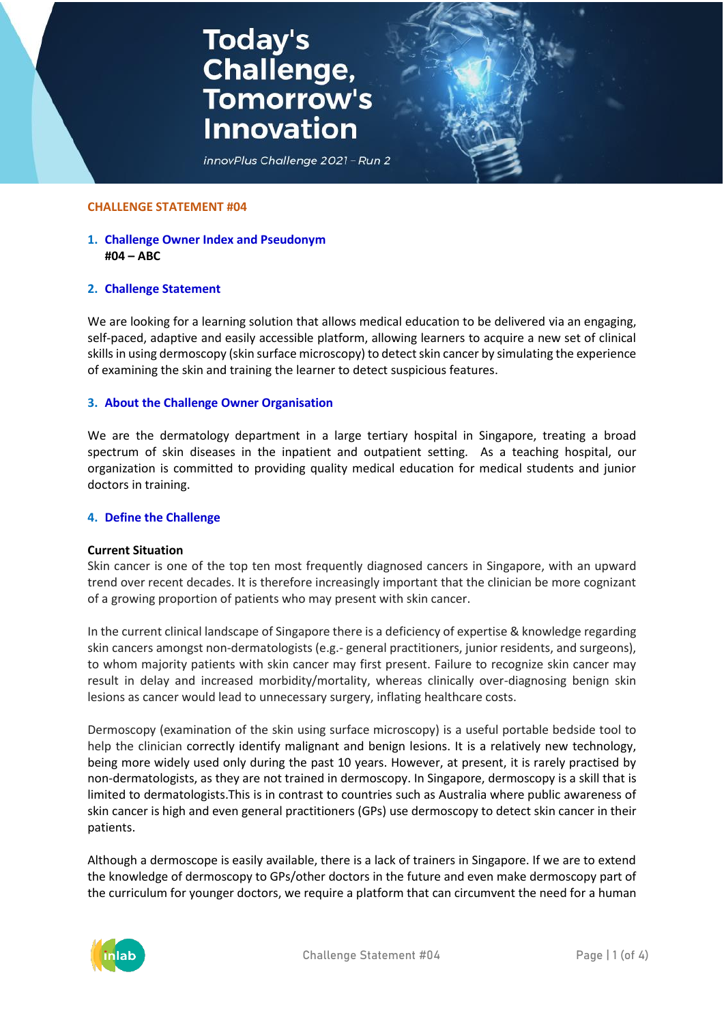# **Today's<br>Challenge,<br>Tomorrow's Innovation**



#### **CHALLENGE STATEMENT #04**

## **1. Challenge Owner Index and Pseudonym #04 – ABC**

## **2. Challenge Statement**

We are looking for a learning solution that allows medical education to be delivered via an engaging, self-paced, adaptive and easily accessible platform, allowing learners to acquire a new set of clinical skills in using dermoscopy (skin surface microscopy) to detect skin cancer by simulating the experience of examining the skin and training the learner to detect suspicious features.

#### **3. About the Challenge Owner Organisation**

We are the dermatology department in a large tertiary hospital in Singapore, treating a broad spectrum of skin diseases in the inpatient and outpatient setting. As a teaching hospital, our organization is committed to providing quality medical education for medical students and junior doctors in training.

#### **4. Define the Challenge**

#### **Current Situation**

Skin cancer is one of the top ten most frequently diagnosed cancers in Singapore, with an upward trend over recent decades. It is therefore increasingly important that the clinician be more cognizant of a growing proportion of patients who may present with skin cancer.

In the current clinical landscape of Singapore there is a deficiency of expertise & knowledge regarding skin cancers amongst non-dermatologists (e.g.- general practitioners, junior residents, and surgeons), to whom majority patients with skin cancer may first present. Failure to recognize skin cancer may result in delay and increased morbidity/mortality, whereas clinically over-diagnosing benign skin lesions as cancer would lead to unnecessary surgery, inflating healthcare costs.

Dermoscopy (examination of the skin using surface microscopy) is a useful portable bedside tool to help the clinician correctly identify malignant and benign lesions. It is a relatively new technology, being more widely used only during the past 10 years. However, at present, it is rarely practised by non-dermatologists, as they are not trained in dermoscopy. In Singapore, dermoscopy is a skill that is limited to dermatologists.This is in contrast to countries such as Australia where public awareness of skin cancer is high and even general practitioners (GPs) use dermoscopy to detect skin cancer in their patients.

Although a dermoscope is easily available, there is a lack of trainers in Singapore. If we are to extend the knowledge of dermoscopy to GPs/other doctors in the future and even make dermoscopy part of the curriculum for younger doctors, we require a platform that can circumvent the need for a human

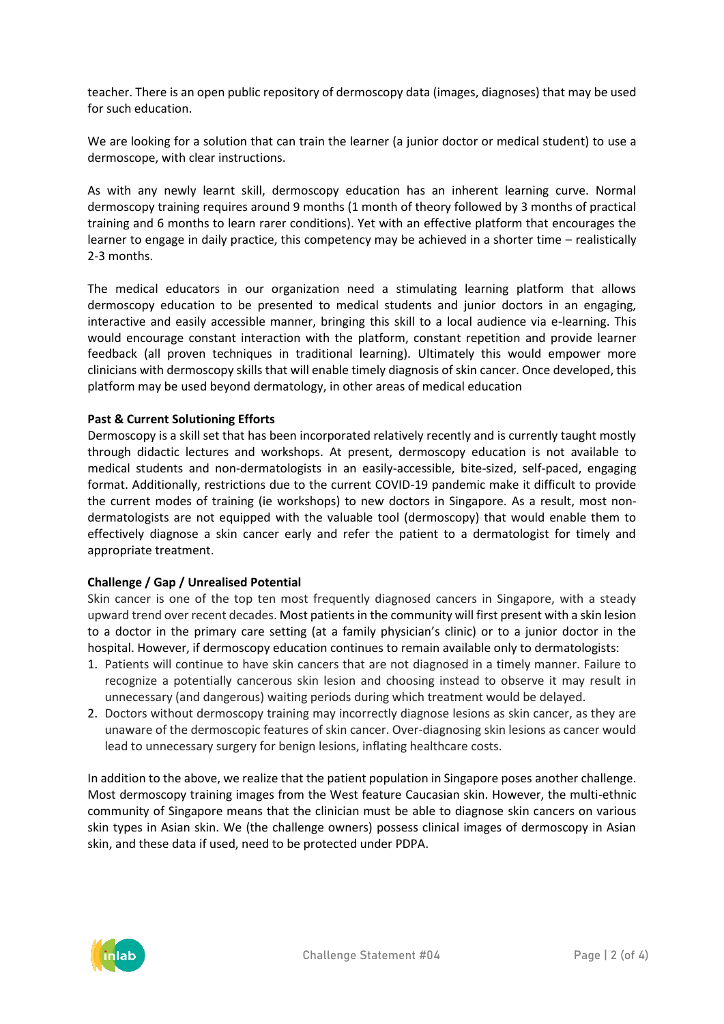teacher. There is an open public repository of dermoscopy data (images, diagnoses) that may be used for such education.

We are looking for a solution that can train the learner (a junior doctor or medical student) to use a dermoscope, with clear instructions.

As with any newly learnt skill, dermoscopy education has an inherent learning curve. Normal dermoscopy training requires around 9 months (1 month of theory followed by 3 months of practical training and 6 months to learn rarer conditions). Yet with an effective platform that encourages the learner to engage in daily practice, this competency may be achieved in a shorter time – realistically 2-3 months.

The medical educators in our organization need a stimulating learning platform that allows dermoscopy education to be presented to medical students and junior doctors in an engaging, interactive and easily accessible manner, bringing this skill to a local audience via e-learning. This would encourage constant interaction with the platform, constant repetition and provide learner feedback (all proven techniques in traditional learning). Ultimately this would empower more clinicians with dermoscopy skills that will enable timely diagnosis of skin cancer. Once developed, this platform may be used beyond dermatology, in other areas of medical education

## **Past & Current Solutioning Efforts**

Dermoscopy is a skill set that has been incorporated relatively recently and is currently taught mostly through didactic lectures and workshops. At present, dermoscopy education is not available to medical students and non-dermatologists in an easily-accessible, bite-sized, self-paced, engaging format. Additionally, restrictions due to the current COVID-19 pandemic make it difficult to provide the current modes of training (ie workshops) to new doctors in Singapore. As a result, most nondermatologists are not equipped with the valuable tool (dermoscopy) that would enable them to effectively diagnose a skin cancer early and refer the patient to a dermatologist for timely and appropriate treatment.

# **Challenge / Gap / Unrealised Potential**

Skin cancer is one of the top ten most frequently diagnosed cancers in Singapore, with a steady upward trend over recent decades. Most patients in the community will first present with a skin lesion to a doctor in the primary care setting (at a family physician's clinic) or to a junior doctor in the hospital. However, if dermoscopy education continues to remain available only to dermatologists:

- 1. Patients will continue to have skin cancers that are not diagnosed in a timely manner. Failure to recognize a potentially cancerous skin lesion and choosing instead to observe it may result in unnecessary (and dangerous) waiting periods during which treatment would be delayed.
- 2. Doctors without dermoscopy training may incorrectly diagnose lesions as skin cancer, as they are unaware of the dermoscopic features of skin cancer. Over-diagnosing skin lesions as cancer would lead to unnecessary surgery for benign lesions, inflating healthcare costs.

In addition to the above, we realize that the patient population in Singapore poses another challenge. Most dermoscopy training images from the West feature Caucasian skin. However, the multi-ethnic community of Singapore means that the clinician must be able to diagnose skin cancers on various skin types in Asian skin. We (the challenge owners) possess clinical images of dermoscopy in Asian skin, and these data if used, need to be protected under PDPA.

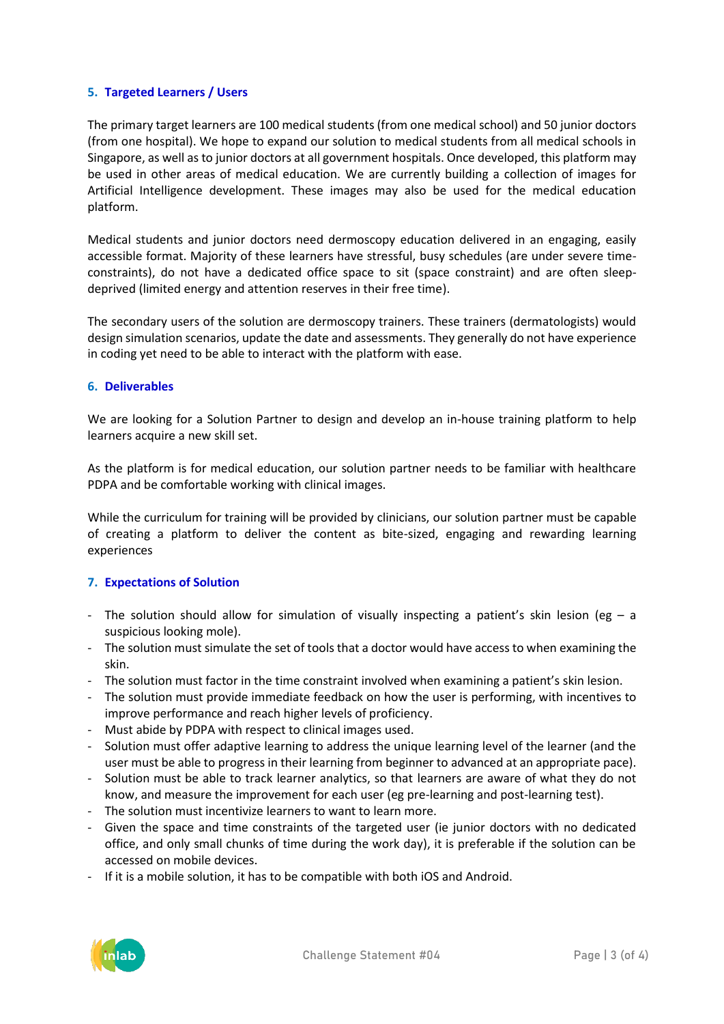## **5. Targeted Learners / Users**

The primary target learners are 100 medical students (from one medical school) and 50 junior doctors (from one hospital). We hope to expand our solution to medical students from all medical schools in Singapore, as well as to junior doctors at all government hospitals. Once developed, this platform may be used in other areas of medical education. We are currently building a collection of images for Artificial Intelligence development. These images may also be used for the medical education platform.

Medical students and junior doctors need dermoscopy education delivered in an engaging, easily accessible format. Majority of these learners have stressful, busy schedules (are under severe timeconstraints), do not have a dedicated office space to sit (space constraint) and are often sleepdeprived (limited energy and attention reserves in their free time).

The secondary users of the solution are dermoscopy trainers. These trainers (dermatologists) would design simulation scenarios, update the date and assessments. They generally do not have experience in coding yet need to be able to interact with the platform with ease.

## **6. Deliverables**

We are looking for a Solution Partner to design and develop an in-house training platform to help learners acquire a new skill set.

As the platform is for medical education, our solution partner needs to be familiar with healthcare PDPA and be comfortable working with clinical images.

While the curriculum for training will be provided by clinicians, our solution partner must be capable of creating a platform to deliver the content as bite-sized, engaging and rewarding learning experiences

# **7. Expectations of Solution**

- The solution should allow for simulation of visually inspecting a patient's skin lesion (eg a suspicious looking mole).
- The solution must simulate the set of tools that a doctor would have access to when examining the skin.
- The solution must factor in the time constraint involved when examining a patient's skin lesion.
- The solution must provide immediate feedback on how the user is performing, with incentives to improve performance and reach higher levels of proficiency.
- Must abide by PDPA with respect to clinical images used.
- Solution must offer adaptive learning to address the unique learning level of the learner (and the user must be able to progress in their learning from beginner to advanced at an appropriate pace).
- Solution must be able to track learner analytics, so that learners are aware of what they do not know, and measure the improvement for each user (eg pre-learning and post-learning test).
- The solution must incentivize learners to want to learn more.
- Given the space and time constraints of the targeted user (ie junior doctors with no dedicated office, and only small chunks of time during the work day), it is preferable if the solution can be accessed on mobile devices.
- If it is a mobile solution, it has to be compatible with both iOS and Android.